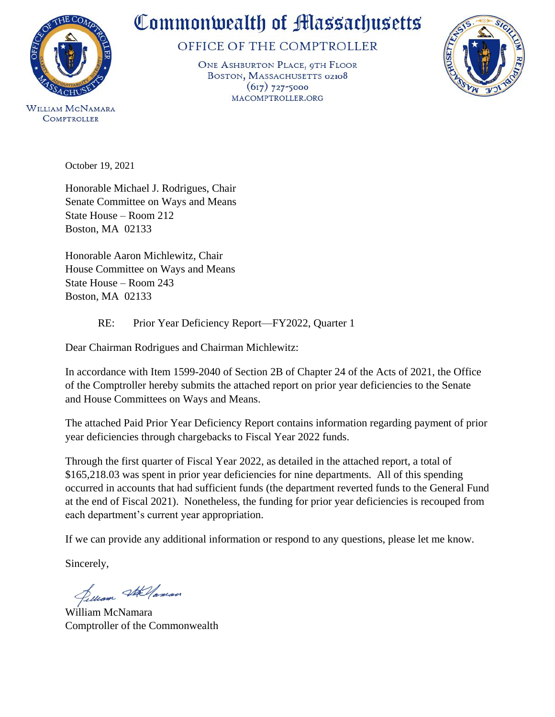

WILLIAM MCNAMARA **COMPTROLLER** 

# Commonwealth of Massachusetts

## OFFICE OF THE COMPTROLLER

ONE ASHBURTON PLACE, 9TH FLOOR BOSTON, MASSACHUSETTS 02108  $(617)$  727-5000 MACOMPTROLLER.ORG



October 19, 2021

Honorable Michael J. Rodrigues, Chair Senate Committee on Ways and Means State House – Room 212 Boston, MA 02133

Honorable Aaron Michlewitz, Chair House Committee on Ways and Means State House – Room 243 Boston, MA 02133

### RE: Prior Year Deficiency Report—FY2022, Quarter 1

Dear Chairman Rodrigues and Chairman Michlewitz:

In accordance with Item 1599-2040 of Section 2B of Chapter 24 of the Acts of 2021, the Office of the Comptroller hereby submits the attached report on prior year deficiencies to the Senate and House Committees on Ways and Means.

The attached Paid Prior Year Deficiency Report contains information regarding payment of prior year deficiencies through chargebacks to Fiscal Year 2022 funds.

Through the first quarter of Fiscal Year 2022, as detailed in the attached report, a total of \$165,218.03 was spent in prior year deficiencies for nine departments. All of this spending occurred in accounts that had sufficient funds (the department reverted funds to the General Fund at the end of Fiscal 2021). Nonetheless, the funding for prior year deficiencies is recouped from each department's current year appropriation.

If we can provide any additional information or respond to any questions, please let me know.

Sincerely,

Pelliam Stellaman

William McNamara Comptroller of the Commonwealth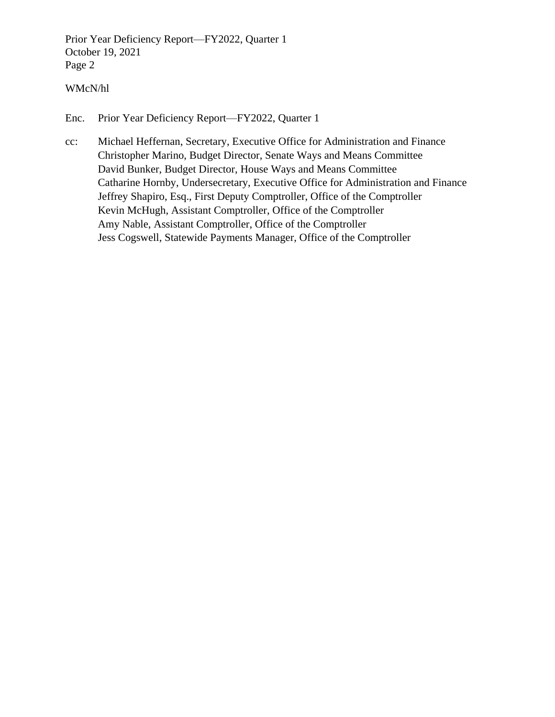Prior Year Deficiency Report—FY2022, Quarter 1 October 19, 2021 Page 2

#### WMcN/hl

Enc. [Prior Year Deficiency Report—FY2022, Quarter 1](#page-2-0)

cc: Michael Heffernan, Secretary, Executive Office for Administration and Finance Christopher Marino, Budget Director, Senate Ways and Means Committee David Bunker, Budget Director, House Ways and Means Committee Catharine Hornby, Undersecretary, Executive Office for Administration and Finance Jeffrey Shapiro, Esq., First Deputy Comptroller, Office of the Comptroller Kevin McHugh, Assistant Comptroller, Office of the Comptroller Amy Nable, Assistant Comptroller, Office of the Comptroller Jess Cogswell, Statewide Payments Manager, Office of the Comptroller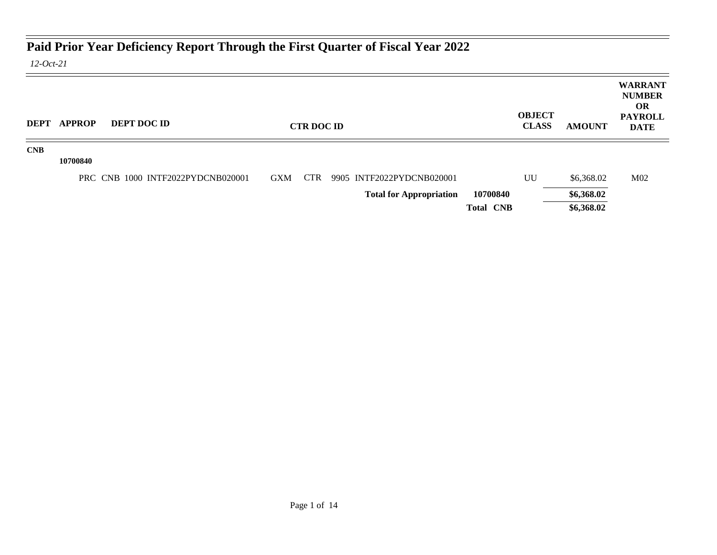## <span id="page-2-0"></span>**Paid Prior Year Deficiency Report Through the First Quarter of Fiscal Year 2022**

*12-Oct-21*

|            | <b>DEPT APPROP</b> | <b>DEPT DOC ID</b>                |            | <b>CTR DOC ID</b> |                                |                  | <b>OBJECT</b><br><b>CLASS</b> | <b>AMOUNT</b> | <b>WARRANT</b><br><b>NUMBER</b><br><b>OR</b><br><b>PAYROLL</b><br><b>DATE</b> |
|------------|--------------------|-----------------------------------|------------|-------------------|--------------------------------|------------------|-------------------------------|---------------|-------------------------------------------------------------------------------|
| <b>CNB</b> | 10700840           |                                   |            |                   |                                |                  |                               |               |                                                                               |
|            |                    | PRC CNB 1000 INTF2022PYDCNB020001 | <b>GXM</b> | <b>CTR</b>        | 9905 INTF2022PYDCNB020001      |                  | UU                            | \$6,368.02    | M <sub>02</sub>                                                               |
|            |                    |                                   |            |                   | <b>Total for Appropriation</b> | 10700840         |                               | \$6,368.02    |                                                                               |
|            |                    |                                   |            |                   |                                | <b>Total CNB</b> |                               | \$6,368.02    |                                                                               |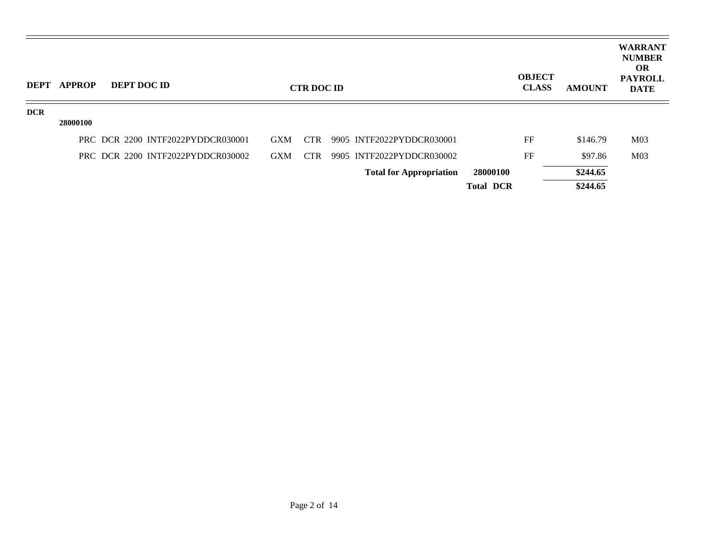| <b>DEPT</b> | <b>APPROP</b> | DEPT DOC ID |                                   |            | <b>CTR DOC ID</b> |                                |                  | <b>OBJECT</b><br><b>CLASS</b> | <b>AMOUNT</b> | <b>WARRANT</b><br><b>NUMBER</b><br><b>OR</b><br><b>PAYROLL</b><br><b>DATE</b> |
|-------------|---------------|-------------|-----------------------------------|------------|-------------------|--------------------------------|------------------|-------------------------------|---------------|-------------------------------------------------------------------------------|
| <b>DCR</b>  |               |             |                                   |            |                   |                                |                  |                               |               |                                                                               |
|             | 28000100      |             |                                   |            |                   |                                |                  |                               |               |                                                                               |
|             |               |             | PRC DCR 2200 INTF2022PYDDCR030001 | <b>GXM</b> | CTR               | 9905 INTF2022PYDDCR030001      |                  | FF                            | \$146.79      | M <sub>03</sub>                                                               |
|             |               |             | PRC DCR 2200 INTF2022PYDDCR030002 | <b>GXM</b> | CTR               | 9905 INTF2022PYDDCR030002      |                  | FF                            | \$97.86       | M <sub>03</sub>                                                               |
|             |               |             |                                   |            |                   | <b>Total for Appropriation</b> | 28000100         |                               | \$244.65      |                                                                               |
|             |               |             |                                   |            |                   |                                | <b>Total DCR</b> |                               | \$244.65      |                                                                               |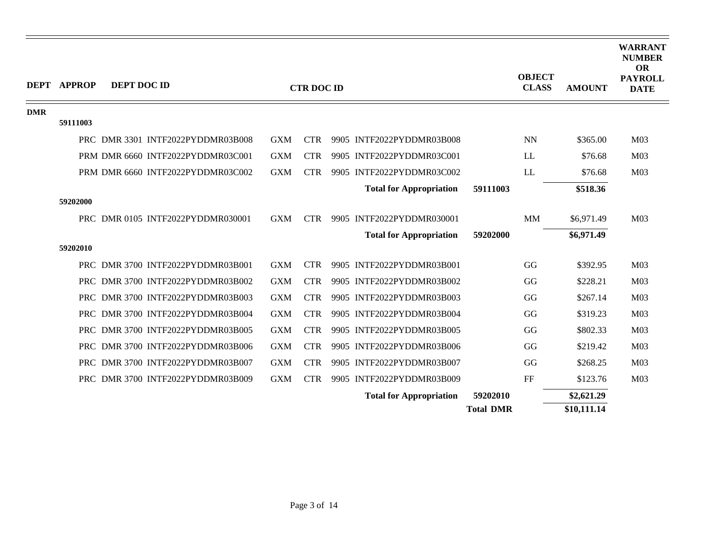| <b>DEPT</b> | <b>APPROP</b> | DEPT DOC ID |                                   |            | <b>CTR DOC ID</b> |                                |                  | <b>OBJECT</b><br><b>CLASS</b> | <b>AMOUNT</b> | <b>WARRANT</b><br><b>NUMBER</b><br><b>OR</b><br><b>PAYROLL</b><br><b>DATE</b> |
|-------------|---------------|-------------|-----------------------------------|------------|-------------------|--------------------------------|------------------|-------------------------------|---------------|-------------------------------------------------------------------------------|
| <b>DMR</b>  |               |             |                                   |            |                   |                                |                  |                               |               |                                                                               |
|             | 59111003      |             |                                   |            |                   |                                |                  |                               |               |                                                                               |
|             |               |             | PRC DMR 3301 INTF2022PYDDMR03B008 | <b>GXM</b> | <b>CTR</b>        | 9905 INTF2022PYDDMR03B008      |                  | <b>NN</b>                     | \$365.00      | M <sub>03</sub>                                                               |
|             |               |             | PRM DMR 6660 INTF2022PYDDMR03C001 | <b>GXM</b> | <b>CTR</b>        | 9905 INTF2022PYDDMR03C001      |                  | LL                            | \$76.68       | M <sub>03</sub>                                                               |
|             |               |             | PRM DMR 6660 INTF2022PYDDMR03C002 | <b>GXM</b> | <b>CTR</b>        | 9905 INTF2022PYDDMR03C002      |                  | LL                            | \$76.68       | M <sub>03</sub>                                                               |
|             |               |             |                                   |            |                   | <b>Total for Appropriation</b> | 59111003         |                               | \$518.36      |                                                                               |
|             | 59202000      |             |                                   |            |                   |                                |                  |                               |               |                                                                               |
|             |               |             | PRC DMR 0105 INTF2022PYDDMR030001 | <b>GXM</b> | <b>CTR</b>        | 9905 INTF2022PYDDMR030001      |                  | MM                            | \$6,971.49    | M <sub>03</sub>                                                               |
|             |               |             |                                   |            |                   | <b>Total for Appropriation</b> | 59202000         |                               | \$6,971.49    |                                                                               |
|             | 59202010      |             |                                   |            |                   |                                |                  |                               |               |                                                                               |
|             |               |             | PRC DMR 3700 INTF2022PYDDMR03B001 | <b>GXM</b> | <b>CTR</b>        | 9905 INTF2022PYDDMR03B001      |                  | GG                            | \$392.95      | M <sub>03</sub>                                                               |
|             |               |             | PRC DMR 3700 INTF2022PYDDMR03B002 | <b>GXM</b> | <b>CTR</b>        | 9905 INTF2022PYDDMR03B002      |                  | GG                            | \$228.21      | M <sub>03</sub>                                                               |
|             |               |             | PRC DMR 3700 INTF2022PYDDMR03B003 | <b>GXM</b> | <b>CTR</b>        | 9905 INTF2022PYDDMR03B003      |                  | GG                            | \$267.14      | M <sub>03</sub>                                                               |
|             |               |             | PRC DMR 3700 INTF2022PYDDMR03B004 | <b>GXM</b> | <b>CTR</b>        | 9905 INTF2022PYDDMR03B004      |                  | GG                            | \$319.23      | M <sub>03</sub>                                                               |
|             |               |             | PRC DMR 3700 INTF2022PYDDMR03B005 | <b>GXM</b> | <b>CTR</b>        | 9905 INTF2022PYDDMR03B005      |                  | GG                            | \$802.33      | M <sub>03</sub>                                                               |
|             |               |             | PRC DMR 3700 INTF2022PYDDMR03B006 | <b>GXM</b> | <b>CTR</b>        | 9905 INTF2022PYDDMR03B006      |                  | GG                            | \$219.42      | M <sub>03</sub>                                                               |
|             |               |             | PRC DMR 3700 INTF2022PYDDMR03B007 | <b>GXM</b> | <b>CTR</b>        | 9905 INTF2022PYDDMR03B007      |                  | GG                            | \$268.25      | M <sub>03</sub>                                                               |
|             |               |             | PRC DMR 3700 INTF2022PYDDMR03B009 | <b>GXM</b> | <b>CTR</b>        | 9905 INTF2022PYDDMR03B009      |                  | FF                            | \$123.76      | M <sub>03</sub>                                                               |
|             |               |             |                                   |            |                   | <b>Total for Appropriation</b> | 59202010         |                               | \$2,621.29    |                                                                               |
|             |               |             |                                   |            |                   |                                | <b>Total DMR</b> |                               | \$10,111.14   |                                                                               |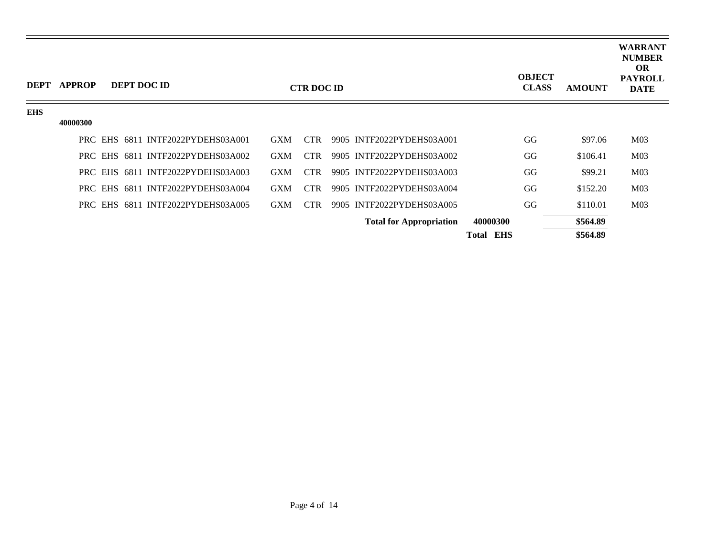| <b>DEPT</b> | <b>APPROP</b> | <b>DEPT DOC ID</b>                |            | <b>CTR DOC ID</b> |                                |                     | <b>OBJECT</b><br><b>CLASS</b> | <b>AMOUNT</b> | <b>WARRANT</b><br><b>NUMBER</b><br><b>OR</b><br><b>PAYROLL</b><br><b>DATE</b> |
|-------------|---------------|-----------------------------------|------------|-------------------|--------------------------------|---------------------|-------------------------------|---------------|-------------------------------------------------------------------------------|
| <b>EHS</b>  |               |                                   |            |                   |                                |                     |                               |               |                                                                               |
|             | 40000300      |                                   |            |                   |                                |                     |                               |               |                                                                               |
|             |               | PRC EHS 6811 INTF2022PYDEHS03A001 | <b>GXM</b> | <b>CTR</b>        | 9905 INTF2022PYDEHS03A001      |                     | GG                            | \$97.06       | M <sub>03</sub>                                                               |
|             |               | PRC EHS 6811 INTF2022PYDEHS03A002 | <b>GXM</b> | <b>CTR</b>        | 9905 INTF2022PYDEHS03A002      |                     | GG                            | \$106.41      | M <sub>03</sub>                                                               |
|             |               | PRC EHS 6811 INTF2022PYDEHS03A003 | <b>GXM</b> | CTR.              | 9905 INTF2022PYDEHS03A003      |                     | GG                            | \$99.21       | M <sub>03</sub>                                                               |
|             |               | PRC EHS 6811 INTF2022PYDEHS03A004 | <b>GXM</b> | <b>CTR</b>        | 9905 INTF2022PYDEHS03A004      |                     | GG                            | \$152.20      | M <sub>03</sub>                                                               |
|             |               | PRC EHS 6811 INTF2022PYDEHS03A005 | <b>GXM</b> | <b>CTR</b>        | 9905 INTF2022PYDEHS03A005      |                     | GG                            | \$110.01      | M <sub>03</sub>                                                               |
|             |               |                                   |            |                   | <b>Total for Appropriation</b> | 40000300            |                               | \$564.89      |                                                                               |
|             |               |                                   |            |                   |                                | <b>EHS</b><br>Total |                               | \$564.89      |                                                                               |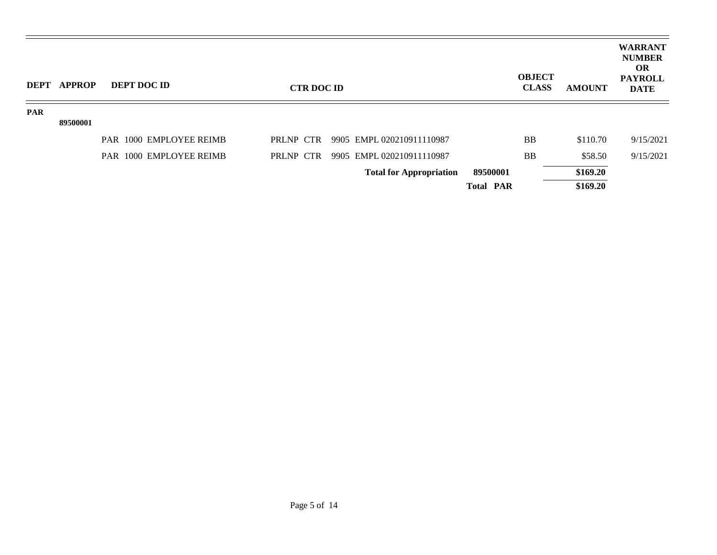|            | DEPT APPROP | <b>DEPT DOC ID</b>      | <b>CTR DOC ID</b> |                                |                  | <b>OBJECT</b><br><b>CLASS</b><br><b>AMOUNT</b> | <b>WARRANT</b><br><b>NUMBER</b><br><b>OR</b><br><b>PAYROLL</b><br><b>DATE</b> |
|------------|-------------|-------------------------|-------------------|--------------------------------|------------------|------------------------------------------------|-------------------------------------------------------------------------------|
| <b>PAR</b> |             |                         |                   |                                |                  |                                                |                                                                               |
|            | 89500001    |                         |                   |                                |                  |                                                |                                                                               |
|            |             | PAR 1000 EMPLOYEE REIMB | PRLNP CTR         | 9905 EMPL 020210911110987      | <b>BB</b>        | \$110.70                                       | 9/15/2021                                                                     |
|            |             | PAR 1000 EMPLOYEE REIMB | PRLNP CTR         | 9905 EMPL 020210911110987      | <b>BB</b>        | \$58.50                                        | 9/15/2021                                                                     |
|            |             |                         |                   | <b>Total for Appropriation</b> | 89500001         | \$169.20                                       |                                                                               |
|            |             |                         |                   |                                | <b>Total PAR</b> | \$169.20                                       |                                                                               |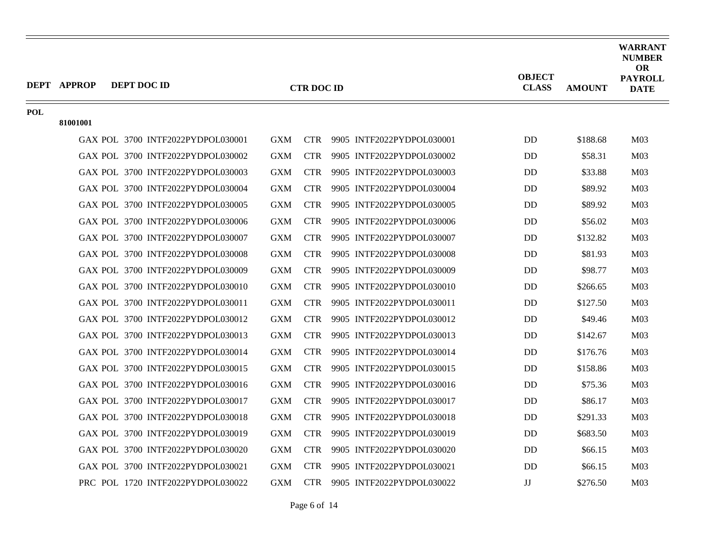|            | <b>DEPT APPROP</b><br>DEPT DOC ID |                                   |            | <b>CTR DOC ID</b> |                               | <b>OBJECT</b><br><b>CLASS</b> | <b>AMOUNT</b> | <b>WARRANT</b><br><b>NUMBER</b><br><b>OR</b><br><b>PAYROLL</b><br><b>DATE</b> |
|------------|-----------------------------------|-----------------------------------|------------|-------------------|-------------------------------|-------------------------------|---------------|-------------------------------------------------------------------------------|
| <b>POL</b> |                                   |                                   |            |                   |                               |                               |               |                                                                               |
|            | 81001001                          |                                   |            |                   |                               |                               |               |                                                                               |
|            |                                   | GAX POL 3700 INTF2022PYDPOL030001 | GXM        |                   | CTR 9905 INTF2022PYDPOL030001 | <b>DD</b>                     | \$188.68      | M <sub>03</sub>                                                               |
|            |                                   | GAX POL 3700 INTF2022PYDPOL030002 | <b>GXM</b> | <b>CTR</b>        | 9905 INTF2022PYDPOL030002     | <b>DD</b>                     | \$58.31       | M <sub>03</sub>                                                               |
|            |                                   | GAX POL 3700 INTF2022PYDPOL030003 | <b>GXM</b> | <b>CTR</b>        | 9905 INTF2022PYDPOL030003     | <b>DD</b>                     | \$33.88       | M <sub>03</sub>                                                               |
|            |                                   | GAX POL 3700 INTF2022PYDPOL030004 | <b>GXM</b> | <b>CTR</b>        | 9905 INTF2022PYDPOL030004     | DD                            | \$89.92       | M <sub>03</sub>                                                               |
|            |                                   | GAX POL 3700 INTF2022PYDPOL030005 | <b>GXM</b> | <b>CTR</b>        | 9905 INTF2022PYDPOL030005     | DD                            | \$89.92       | M <sub>03</sub>                                                               |
|            |                                   | GAX POL 3700 INTF2022PYDPOL030006 | <b>GXM</b> | <b>CTR</b>        | 9905 INTF2022PYDPOL030006     | <b>DD</b>                     | \$56.02       | M <sub>03</sub>                                                               |
|            |                                   | GAX POL 3700 INTF2022PYDPOL030007 | <b>GXM</b> | <b>CTR</b>        | 9905 INTF2022PYDPOL030007     | <b>DD</b>                     | \$132.82      | M <sub>03</sub>                                                               |
|            |                                   | GAX POL 3700 INTF2022PYDPOL030008 | <b>GXM</b> | <b>CTR</b>        | 9905 INTF2022PYDPOL030008     | DD                            | \$81.93       | M <sub>03</sub>                                                               |
|            |                                   | GAX POL 3700 INTF2022PYDPOL030009 | <b>GXM</b> | <b>CTR</b>        | 9905 INTF2022PYDPOL030009     | <b>DD</b>                     | \$98.77       | M <sub>03</sub>                                                               |
|            |                                   | GAX POL 3700 INTF2022PYDPOL030010 | <b>GXM</b> | <b>CTR</b>        | 9905 INTF2022PYDPOL030010     | <b>DD</b>                     | \$266.65      | M <sub>03</sub>                                                               |
|            |                                   | GAX POL 3700 INTF2022PYDPOL030011 | <b>GXM</b> | <b>CTR</b>        | 9905 INTF2022PYDPOL030011     | <b>DD</b>                     | \$127.50      | M <sub>03</sub>                                                               |
|            |                                   | GAX POL 3700 INTF2022PYDPOL030012 | <b>GXM</b> | <b>CTR</b>        | 9905 INTF2022PYDPOL030012     | DD                            | \$49.46       | M <sub>03</sub>                                                               |
|            |                                   | GAX POL 3700 INTF2022PYDPOL030013 | <b>GXM</b> | <b>CTR</b>        | 9905 INTF2022PYDPOL030013     | D <sub>D</sub>                | \$142.67      | M <sub>03</sub>                                                               |
|            |                                   | GAX POL 3700 INTF2022PYDPOL030014 | <b>GXM</b> | <b>CTR</b>        | 9905 INTF2022PYDPOL030014     | DD                            | \$176.76      | M <sub>03</sub>                                                               |
|            |                                   | GAX POL 3700 INTF2022PYDPOL030015 | <b>GXM</b> | <b>CTR</b>        | 9905 INTF2022PYDPOL030015     | DD                            | \$158.86      | M <sub>03</sub>                                                               |
|            |                                   | GAX POL 3700 INTF2022PYDPOL030016 | <b>GXM</b> | <b>CTR</b>        | 9905 INTF2022PYDPOL030016     | <b>DD</b>                     | \$75.36       | M <sub>03</sub>                                                               |
|            |                                   | GAX POL 3700 INTF2022PYDPOL030017 | <b>GXM</b> | <b>CTR</b>        | 9905 INTF2022PYDPOL030017     | <b>DD</b>                     | \$86.17       | M <sub>03</sub>                                                               |
|            |                                   | GAX POL 3700 INTF2022PYDPOL030018 | <b>GXM</b> | <b>CTR</b>        | 9905 INTF2022PYDPOL030018     | <b>DD</b>                     | \$291.33      | M <sub>03</sub>                                                               |
|            |                                   | GAX POL 3700 INTF2022PYDPOL030019 | <b>GXM</b> | <b>CTR</b>        | 9905 INTF2022PYDPOL030019     | <b>DD</b>                     | \$683.50      | M <sub>03</sub>                                                               |
|            |                                   | GAX POL 3700 INTF2022PYDPOL030020 | <b>GXM</b> | <b>CTR</b>        | 9905 INTF2022PYDPOL030020     | <b>DD</b>                     | \$66.15       | M <sub>03</sub>                                                               |
|            |                                   | GAX POL 3700 INTF2022PYDPOL030021 | <b>GXM</b> | <b>CTR</b>        | 9905 INTF2022PYDPOL030021     | <b>DD</b>                     | \$66.15       | M <sub>03</sub>                                                               |
|            |                                   | PRC POL 1720 INTF2022PYDPOL030022 | <b>GXM</b> | <b>CTR</b>        | 9905 INTF2022PYDPOL030022     | $\mathbf{J}\mathbf{J}$        | \$276.50      | M <sub>03</sub>                                                               |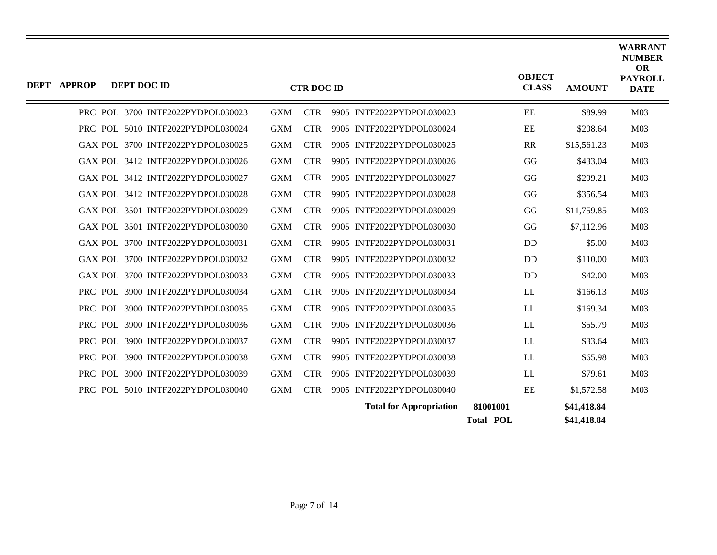| <b>DEPT APPROP</b> | DEPT DOC ID                       |            | <b>CTR DOC ID</b> |                                |                  | <b>OBJECT</b><br><b>CLASS</b> | <b>AMOUNT</b> | <b>WARRANT</b><br><b>NUMBER</b><br><b>OR</b><br><b>PAYROLL</b><br><b>DATE</b> |
|--------------------|-----------------------------------|------------|-------------------|--------------------------------|------------------|-------------------------------|---------------|-------------------------------------------------------------------------------|
|                    | PRC POL 3700 INTF2022PYDPOL030023 | <b>GXM</b> | <b>CTR</b>        | 9905 INTF2022PYDPOL030023      | EE               |                               | \$89.99       | M <sub>03</sub>                                                               |
|                    | PRC POL 5010 INTF2022PYDPOL030024 | <b>GXM</b> | <b>CTR</b>        | 9905 INTF2022PYDPOL030024      | EE               |                               | \$208.64      | M <sub>03</sub>                                                               |
|                    | GAX POL 3700 INTF2022PYDPOL030025 | <b>GXM</b> | <b>CTR</b>        | 9905 INTF2022PYDPOL030025      | RR               |                               | \$15,561.23   | M <sub>03</sub>                                                               |
|                    | GAX POL 3412 INTF2022PYDPOL030026 | <b>GXM</b> | <b>CTR</b>        | 9905 INTF2022PYDPOL030026      | GG               |                               | \$433.04      | M <sub>03</sub>                                                               |
|                    | GAX POL 3412 INTF2022PYDPOL030027 | <b>GXM</b> | <b>CTR</b>        | 9905 INTF2022PYDPOL030027      | GG               |                               | \$299.21      | M <sub>03</sub>                                                               |
|                    | GAX POL 3412 INTF2022PYDPOL030028 | <b>GXM</b> | <b>CTR</b>        | 9905 INTF2022PYDPOL030028      | GG               |                               | \$356.54      | M <sub>03</sub>                                                               |
|                    | GAX POL 3501 INTF2022PYDPOL030029 | <b>GXM</b> | <b>CTR</b>        | 9905 INTF2022PYDPOL030029      | GG               |                               | \$11,759.85   | M <sub>03</sub>                                                               |
|                    | GAX POL 3501 INTF2022PYDPOL030030 | <b>GXM</b> | <b>CTR</b>        | 9905 INTF2022PYDPOL030030      | GG               |                               | \$7,112.96    | M <sub>03</sub>                                                               |
|                    | GAX POL 3700 INTF2022PYDPOL030031 | <b>GXM</b> | <b>CTR</b>        | 9905 INTF2022PYDPOL030031      | DD               |                               | \$5.00        | M <sub>03</sub>                                                               |
|                    | GAX POL 3700 INTF2022PYDPOL030032 | <b>GXM</b> | <b>CTR</b>        | 9905 INTF2022PYDPOL030032      | DD               |                               | \$110.00      | M <sub>03</sub>                                                               |
|                    | GAX POL 3700 INTF2022PYDPOL030033 | <b>GXM</b> | <b>CTR</b>        | 9905 INTF2022PYDPOL030033      | DD               |                               | \$42.00       | M <sub>03</sub>                                                               |
|                    | PRC POL 3900 INTF2022PYDPOL030034 | <b>GXM</b> | <b>CTR</b>        | 9905 INTF2022PYDPOL030034      | LL               |                               | \$166.13      | M <sub>03</sub>                                                               |
|                    | PRC POL 3900 INTF2022PYDPOL030035 | <b>GXM</b> | <b>CTR</b>        | 9905 INTF2022PYDPOL030035      | LL               |                               | \$169.34      | M <sub>03</sub>                                                               |
|                    | PRC POL 3900 INTF2022PYDPOL030036 | <b>GXM</b> | <b>CTR</b>        | 9905 INTF2022PYDPOL030036      | LL               |                               | \$55.79       | M <sub>03</sub>                                                               |
|                    | PRC POL 3900 INTF2022PYDPOL030037 | <b>GXM</b> | <b>CTR</b>        | 9905 INTF2022PYDPOL030037      | <b>LL</b>        |                               | \$33.64       | M <sub>03</sub>                                                               |
|                    | PRC POL 3900 INTF2022PYDPOL030038 | <b>GXM</b> | <b>CTR</b>        | 9905 INTF2022PYDPOL030038      | <b>LL</b>        |                               | \$65.98       | M <sub>03</sub>                                                               |
|                    | PRC POL 3900 INTF2022PYDPOL030039 | <b>GXM</b> | <b>CTR</b>        | 9905 INTF2022PYDPOL030039      | LL               |                               | \$79.61       | M <sub>03</sub>                                                               |
|                    | PRC POL 5010 INTF2022PYDPOL030040 | <b>GXM</b> | <b>CTR</b>        | 9905 INTF2022PYDPOL030040      | EE               |                               | \$1,572.58    | M <sub>03</sub>                                                               |
|                    |                                   |            |                   | <b>Total for Appropriation</b> | 81001001         |                               | \$41,418.84   |                                                                               |
|                    |                                   |            |                   |                                | <b>Total POL</b> |                               | \$41,418.84   |                                                                               |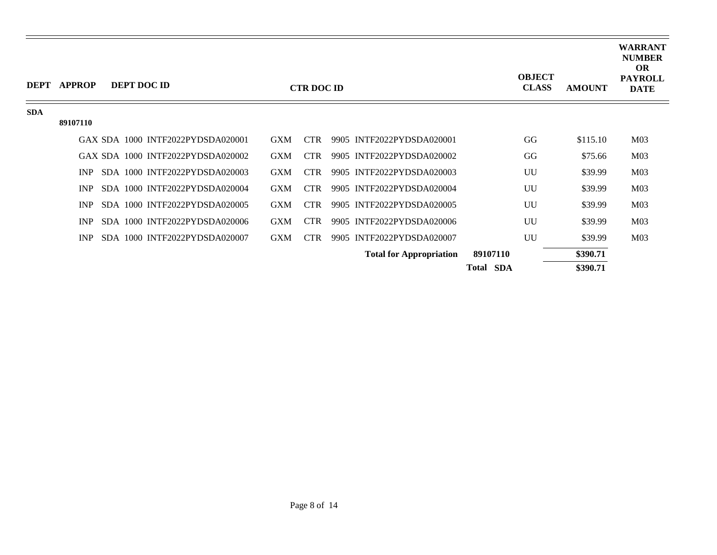| <b>DEPT</b> | <b>APPROP</b> |  | DEPT DOC ID                       |            | <b>CTR DOC ID</b> |                                |                  | <b>OBJECT</b><br><b>CLASS</b> | <b>AMOUNT</b> | <b>WARRANT</b><br><b>NUMBER</b><br><b>OR</b><br><b>PAYROLL</b><br><b>DATE</b> |
|-------------|---------------|--|-----------------------------------|------------|-------------------|--------------------------------|------------------|-------------------------------|---------------|-------------------------------------------------------------------------------|
| <b>SDA</b>  |               |  |                                   |            |                   |                                |                  |                               |               |                                                                               |
|             | 89107110      |  |                                   |            |                   |                                |                  |                               |               |                                                                               |
|             |               |  | GAX SDA 1000 INTF2022PYDSDA020001 | <b>GXM</b> | <b>CTR</b>        | 9905 INTF2022PYDSDA020001      |                  | GG                            | \$115.10      | M <sub>03</sub>                                                               |
|             |               |  | GAX SDA 1000 INTF2022PYDSDA020002 | <b>GXM</b> | <b>CTR</b>        | 9905 INTF2022PYDSDA020002      |                  | GG                            | \$75.66       | M <sub>03</sub>                                                               |
|             | <b>INP</b>    |  | SDA 1000 INTF2022PYDSDA020003     | <b>GXM</b> | CTR.              | 9905 INTF2022PYDSDA020003      |                  | UU                            | \$39.99       | M <sub>03</sub>                                                               |
|             | INP           |  | SDA 1000 INTF2022PYDSDA020004     | <b>GXM</b> | <b>CTR</b>        | 9905 INTF2022PYDSDA020004      |                  | UU                            | \$39.99       | M <sub>03</sub>                                                               |
|             | <b>INP</b>    |  | SDA 1000 INTF2022PYDSDA020005     | <b>GXM</b> | <b>CTR</b>        | 9905 INTF2022PYDSDA020005      |                  | UU                            | \$39.99       | M <sub>03</sub>                                                               |
|             | INP           |  | SDA 1000 INTF2022PYDSDA020006     | <b>GXM</b> | <b>CTR</b>        | 9905 INTF2022PYDSDA020006      |                  | UU                            | \$39.99       | M <sub>03</sub>                                                               |
|             | <b>INP</b>    |  | SDA 1000 INTF2022PYDSDA020007     | <b>GXM</b> | <b>CTR</b>        | 9905 INTF2022PYDSDA020007      |                  | UU                            | \$39.99       | M <sub>03</sub>                                                               |
|             |               |  |                                   |            |                   | <b>Total for Appropriation</b> | 89107110         |                               | \$390.71      |                                                                               |
|             |               |  |                                   |            |                   |                                | <b>Total SDA</b> |                               | \$390.71      |                                                                               |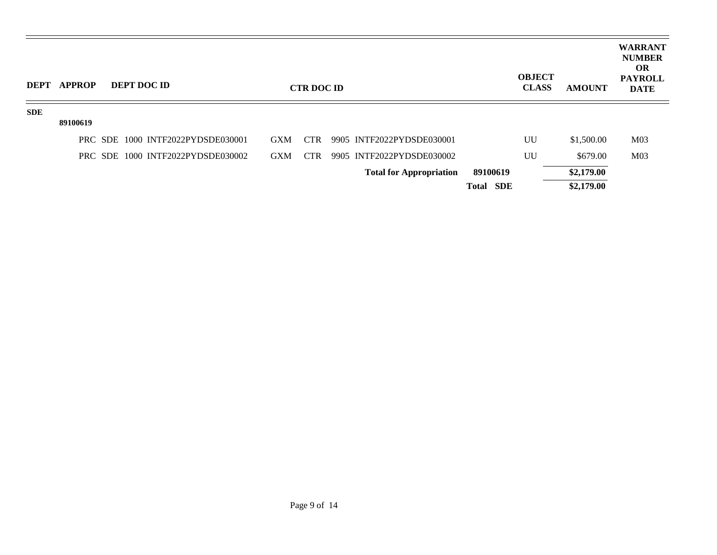| <b>DEPT</b> | <b>APPROP</b> |  | DEPT DOC ID                       |            | <b>CTR DOC ID</b> |                                |                  | <b>OBJECT</b><br><b>CLASS</b> | <b>AMOUNT</b> | <b>WARRANT</b><br><b>NUMBER</b><br><b>OR</b><br><b>PAYROLL</b><br><b>DATE</b> |
|-------------|---------------|--|-----------------------------------|------------|-------------------|--------------------------------|------------------|-------------------------------|---------------|-------------------------------------------------------------------------------|
| <b>SDE</b>  |               |  |                                   |            |                   |                                |                  |                               |               |                                                                               |
|             | 89100619      |  |                                   |            |                   |                                |                  |                               |               |                                                                               |
|             |               |  | PRC SDE 1000 INTF2022PYDSDE030001 | <b>GXM</b> | <b>CTR</b>        | 9905 INTF2022PYDSDE030001      |                  | UU                            | \$1,500.00    | M <sub>03</sub>                                                               |
|             |               |  | PRC SDE 1000 INTF2022PYDSDE030002 | <b>GXM</b> | <b>CTR</b>        | 9905 INTF2022PYDSDE030002      |                  | UU                            | \$679.00      | M <sub>03</sub>                                                               |
|             |               |  |                                   |            |                   | <b>Total for Appropriation</b> | 89100619         |                               | \$2,179.00    |                                                                               |
|             |               |  |                                   |            |                   |                                | <b>Total SDE</b> |                               | \$2,179.00    |                                                                               |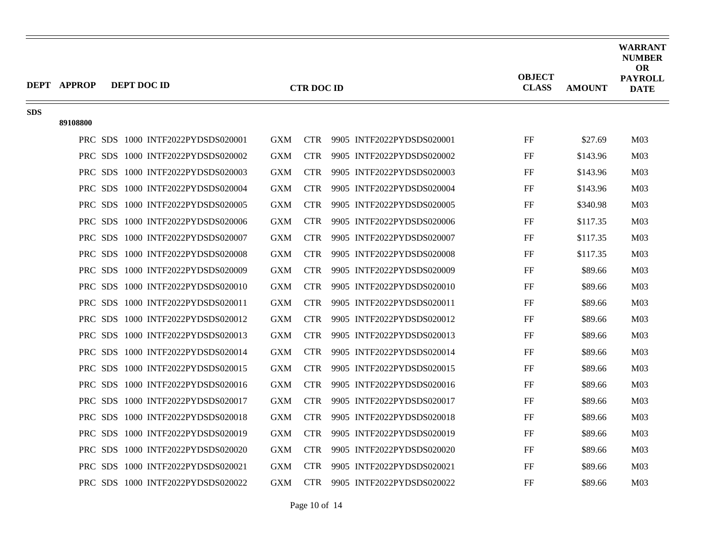|            | <b>DEPT APPROP</b> | DEPT DOC ID                       |            | <b>CTR DOC ID</b> |                           | <b>OBJECT</b><br><b>CLASS</b> | <b>AMOUNT</b> | <b>WARRANT</b><br><b>NUMBER</b><br><b>OR</b><br><b>PAYROLL</b><br><b>DATE</b> |
|------------|--------------------|-----------------------------------|------------|-------------------|---------------------------|-------------------------------|---------------|-------------------------------------------------------------------------------|
| <b>SDS</b> | 89108800           |                                   |            |                   |                           |                               |               |                                                                               |
|            |                    | PRC SDS 1000 INTF2022PYDSDS020001 | <b>GXM</b> | <b>CTR</b>        | 9905 INTF2022PYDSDS020001 | FF                            | \$27.69       | M <sub>03</sub>                                                               |
|            |                    | PRC SDS 1000 INTF2022PYDSDS020002 | <b>GXM</b> | <b>CTR</b>        | 9905 INTF2022PYDSDS020002 | FF                            | \$143.96      | M <sub>03</sub>                                                               |
|            |                    | PRC SDS 1000 INTF2022PYDSDS020003 | <b>GXM</b> | <b>CTR</b>        | 9905 INTF2022PYDSDS020003 | FF                            | \$143.96      | M <sub>03</sub>                                                               |
|            |                    | PRC SDS 1000 INTF2022PYDSDS020004 | <b>GXM</b> | <b>CTR</b>        | 9905 INTF2022PYDSDS020004 | FF                            | \$143.96      | M <sub>03</sub>                                                               |
|            |                    | PRC SDS 1000 INTF2022PYDSDS020005 | <b>GXM</b> | <b>CTR</b>        | 9905 INTF2022PYDSDS020005 | FF                            | \$340.98      | M <sub>03</sub>                                                               |
|            |                    | PRC SDS 1000 INTF2022PYDSDS020006 | <b>GXM</b> | <b>CTR</b>        | 9905 INTF2022PYDSDS020006 | FF                            | \$117.35      | M <sub>03</sub>                                                               |
|            |                    | PRC SDS 1000 INTF2022PYDSDS020007 | <b>GXM</b> | <b>CTR</b>        | 9905 INTF2022PYDSDS020007 | FF                            | \$117.35      | M <sub>03</sub>                                                               |
|            |                    |                                   |            |                   |                           |                               |               |                                                                               |
|            |                    | PRC SDS 1000 INTF2022PYDSDS020008 | <b>GXM</b> | <b>CTR</b>        | 9905 INTF2022PYDSDS020008 | FF                            | \$117.35      | M <sub>03</sub>                                                               |
|            |                    | PRC SDS 1000 INTF2022PYDSDS020009 | <b>GXM</b> | <b>CTR</b>        | 9905 INTF2022PYDSDS020009 | FF                            | \$89.66       | M <sub>03</sub>                                                               |
|            |                    | PRC SDS 1000 INTF2022PYDSDS020010 | <b>GXM</b> | <b>CTR</b>        | 9905 INTF2022PYDSDS020010 | FF                            | \$89.66       | M <sub>03</sub>                                                               |
|            |                    | PRC SDS 1000 INTF2022PYDSDS020011 | <b>GXM</b> | <b>CTR</b>        | 9905 INTF2022PYDSDS020011 | FF                            | \$89.66       | M <sub>03</sub>                                                               |
|            |                    | PRC SDS 1000 INTF2022PYDSDS020012 | <b>GXM</b> | <b>CTR</b>        | 9905 INTF2022PYDSDS020012 | FF                            | \$89.66       | M <sub>03</sub>                                                               |
|            |                    | PRC SDS 1000 INTF2022PYDSDS020013 | <b>GXM</b> | <b>CTR</b>        | 9905 INTF2022PYDSDS020013 | FF                            | \$89.66       | M <sub>03</sub>                                                               |
|            |                    | PRC SDS 1000 INTF2022PYDSDS020014 | <b>GXM</b> | <b>CTR</b>        | 9905 INTF2022PYDSDS020014 | FF                            | \$89.66       | M <sub>03</sub>                                                               |
|            |                    | PRC SDS 1000 INTF2022PYDSDS020015 | <b>GXM</b> | <b>CTR</b>        | 9905 INTF2022PYDSDS020015 | FF                            | \$89.66       | M <sub>03</sub>                                                               |
|            |                    | PRC SDS 1000 INTF2022PYDSDS020016 | <b>GXM</b> | <b>CTR</b>        | 9905 INTF2022PYDSDS020016 | FF                            | \$89.66       | M <sub>03</sub>                                                               |
|            |                    | PRC SDS 1000 INTF2022PYDSDS020017 | <b>GXM</b> | <b>CTR</b>        | 9905 INTF2022PYDSDS020017 | FF                            | \$89.66       | M <sub>03</sub>                                                               |
|            |                    | PRC SDS 1000 INTF2022PYDSDS020018 | <b>GXM</b> | <b>CTR</b>        | 9905 INTF2022PYDSDS020018 | FF                            | \$89.66       | M <sub>03</sub>                                                               |
|            |                    | PRC SDS 1000 INTF2022PYDSDS020019 | <b>GXM</b> | <b>CTR</b>        | 9905 INTF2022PYDSDS020019 | FF                            | \$89.66       | M <sub>03</sub>                                                               |
|            |                    | PRC SDS 1000 INTF2022PYDSDS020020 | <b>GXM</b> | <b>CTR</b>        | 9905 INTF2022PYDSDS020020 | FF                            | \$89.66       | M <sub>03</sub>                                                               |
|            |                    | PRC SDS 1000 INTF2022PYDSDS020021 | <b>GXM</b> | <b>CTR</b>        | 9905 INTF2022PYDSDS020021 | FF                            | \$89.66       | M <sub>03</sub>                                                               |
|            |                    | PRC SDS 1000 INTF2022PYDSDS020022 | <b>GXM</b> | <b>CTR</b>        | 9905 INTF2022PYDSDS020022 | $\rm FF$                      | \$89.66       | M <sub>03</sub>                                                               |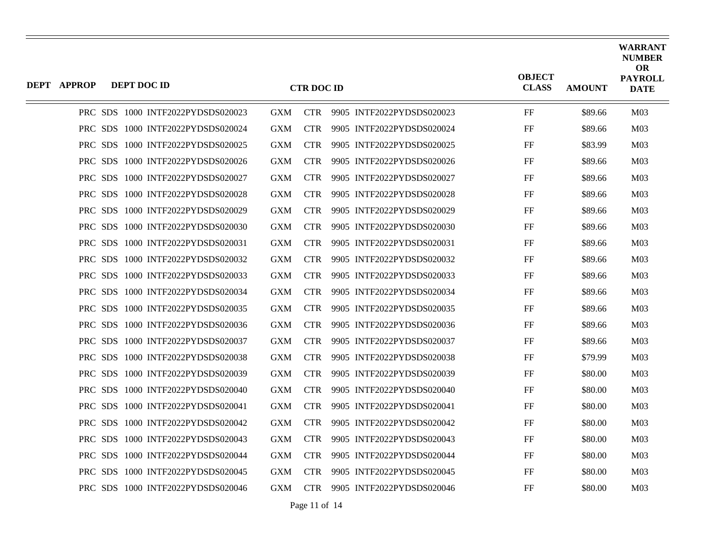| DEPT APPROP | DEPT DOC ID |                                   |            | <b>CTR DOC ID</b> |                           | <b>OBJECT</b><br><b>CLASS</b> | <b>AMOUNT</b> | <b>WARRANT</b><br><b>NUMBER</b><br><b>OR</b><br><b>PAYROLL</b><br><b>DATE</b> |
|-------------|-------------|-----------------------------------|------------|-------------------|---------------------------|-------------------------------|---------------|-------------------------------------------------------------------------------|
|             |             | PRC SDS 1000 INTF2022PYDSDS020023 | <b>GXM</b> | <b>CTR</b>        | 9905 INTF2022PYDSDS020023 | FF                            | \$89.66       | M <sub>03</sub>                                                               |
|             |             | PRC SDS 1000 INTF2022PYDSDS020024 | <b>GXM</b> | <b>CTR</b>        | 9905 INTF2022PYDSDS020024 | FF                            | \$89.66       | M <sub>03</sub>                                                               |
|             |             | PRC SDS 1000 INTF2022PYDSDS020025 | <b>GXM</b> | <b>CTR</b>        | 9905 INTF2022PYDSDS020025 | FF                            | \$83.99       | M <sub>03</sub>                                                               |
|             |             | PRC SDS 1000 INTF2022PYDSDS020026 | <b>GXM</b> | <b>CTR</b>        | 9905 INTF2022PYDSDS020026 | FF                            | \$89.66       | M <sub>03</sub>                                                               |
|             |             | PRC SDS 1000 INTF2022PYDSDS020027 | <b>GXM</b> | <b>CTR</b>        | 9905 INTF2022PYDSDS020027 | FF                            | \$89.66       | M <sub>03</sub>                                                               |
|             |             | PRC SDS 1000 INTF2022PYDSDS020028 | <b>GXM</b> | <b>CTR</b>        | 9905 INTF2022PYDSDS020028 | FF                            | \$89.66       | M <sub>03</sub>                                                               |
|             |             | PRC SDS 1000 INTF2022PYDSDS020029 | <b>GXM</b> | <b>CTR</b>        | 9905 INTF2022PYDSDS020029 | FF                            | \$89.66       | M <sub>03</sub>                                                               |
|             |             | PRC SDS 1000 INTF2022PYDSDS020030 | <b>GXM</b> | <b>CTR</b>        | 9905 INTF2022PYDSDS020030 | FF                            | \$89.66       | M <sub>03</sub>                                                               |
|             |             | PRC SDS 1000 INTF2022PYDSDS020031 | <b>GXM</b> | <b>CTR</b>        | 9905 INTF2022PYDSDS020031 | FF                            | \$89.66       | M <sub>03</sub>                                                               |
|             |             | PRC SDS 1000 INTF2022PYDSDS020032 | <b>GXM</b> | <b>CTR</b>        | 9905 INTF2022PYDSDS020032 | FF                            | \$89.66       | M <sub>03</sub>                                                               |
|             |             | PRC SDS 1000 INTF2022PYDSDS020033 | <b>GXM</b> | <b>CTR</b>        | 9905 INTF2022PYDSDS020033 | FF                            | \$89.66       | M <sub>03</sub>                                                               |
|             |             | PRC SDS 1000 INTF2022PYDSDS020034 | <b>GXM</b> | <b>CTR</b>        | 9905 INTF2022PYDSDS020034 | FF                            | \$89.66       | M <sub>03</sub>                                                               |
|             |             | PRC SDS 1000 INTF2022PYDSDS020035 | <b>GXM</b> | <b>CTR</b>        | 9905 INTF2022PYDSDS020035 | FF                            | \$89.66       | M <sub>03</sub>                                                               |
|             |             | PRC SDS 1000 INTF2022PYDSDS020036 | <b>GXM</b> | <b>CTR</b>        | 9905 INTF2022PYDSDS020036 | FF                            | \$89.66       | M <sub>03</sub>                                                               |
|             |             | PRC SDS 1000 INTF2022PYDSDS020037 | <b>GXM</b> | <b>CTR</b>        | 9905 INTF2022PYDSDS020037 | FF                            | \$89.66       | M <sub>03</sub>                                                               |
|             |             | PRC SDS 1000 INTF2022PYDSDS020038 | <b>GXM</b> | <b>CTR</b>        | 9905 INTF2022PYDSDS020038 | FF                            | \$79.99       | M <sub>03</sub>                                                               |
|             |             | PRC SDS 1000 INTF2022PYDSDS020039 | <b>GXM</b> | <b>CTR</b>        | 9905 INTF2022PYDSDS020039 | FF                            | \$80.00       | M <sub>03</sub>                                                               |
|             |             | PRC SDS 1000 INTF2022PYDSDS020040 | <b>GXM</b> | <b>CTR</b>        | 9905 INTF2022PYDSDS020040 | FF                            | \$80.00       | M <sub>03</sub>                                                               |
|             |             | PRC SDS 1000 INTF2022PYDSDS020041 | <b>GXM</b> | <b>CTR</b>        | 9905 INTF2022PYDSDS020041 | FF                            | \$80.00       | M <sub>03</sub>                                                               |
|             |             | PRC SDS 1000 INTF2022PYDSDS020042 | <b>GXM</b> | <b>CTR</b>        | 9905 INTF2022PYDSDS020042 | FF                            | \$80.00       | M <sub>03</sub>                                                               |
|             |             | PRC SDS 1000 INTF2022PYDSDS020043 | <b>GXM</b> | <b>CTR</b>        | 9905 INTF2022PYDSDS020043 | FF                            | \$80.00       | M <sub>03</sub>                                                               |
|             |             | PRC SDS 1000 INTF2022PYDSDS020044 | <b>GXM</b> | <b>CTR</b>        | 9905 INTF2022PYDSDS020044 | FF                            | \$80.00       | M <sub>03</sub>                                                               |
|             |             | PRC SDS 1000 INTF2022PYDSDS020045 | <b>GXM</b> | <b>CTR</b>        | 9905 INTF2022PYDSDS020045 | FF                            | \$80.00       | M <sub>03</sub>                                                               |
|             |             | PRC SDS 1000 INTF2022PYDSDS020046 | <b>GXM</b> | <b>CTR</b>        | 9905 INTF2022PYDSDS020046 | FF                            | \$80.00       | M <sub>03</sub>                                                               |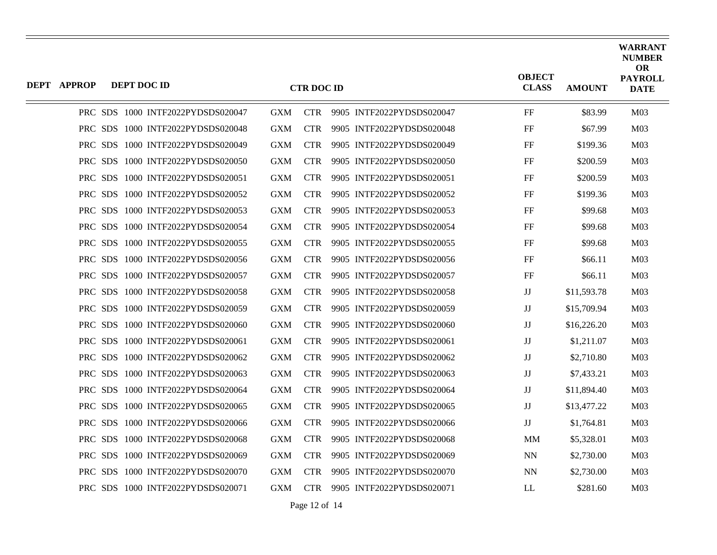| <b>DEPT APPROP</b> | DEPT DOC ID |                                   |            | <b>CTR DOC ID</b> |                           | <b>OBJECT</b><br><b>CLASS</b> | <b>AMOUNT</b> | <b>WARRANT</b><br><b>NUMBER</b><br><b>OR</b><br><b>PAYROLL</b><br><b>DATE</b> |
|--------------------|-------------|-----------------------------------|------------|-------------------|---------------------------|-------------------------------|---------------|-------------------------------------------------------------------------------|
|                    |             | PRC SDS 1000 INTF2022PYDSDS020047 | <b>GXM</b> | <b>CTR</b>        | 9905 INTF2022PYDSDS020047 | FF                            | \$83.99       | M <sub>03</sub>                                                               |
|                    |             | PRC SDS 1000 INTF2022PYDSDS020048 | <b>GXM</b> | <b>CTR</b>        | 9905 INTF2022PYDSDS020048 | FF                            | \$67.99       | M <sub>03</sub>                                                               |
|                    |             | PRC SDS 1000 INTF2022PYDSDS020049 | <b>GXM</b> | <b>CTR</b>        | 9905 INTF2022PYDSDS020049 | FF                            | \$199.36      | M <sub>03</sub>                                                               |
|                    |             | PRC SDS 1000 INTF2022PYDSDS020050 | <b>GXM</b> | <b>CTR</b>        | 9905 INTF2022PYDSDS020050 | FF                            | \$200.59      | M <sub>03</sub>                                                               |
|                    |             | PRC SDS 1000 INTF2022PYDSDS020051 | <b>GXM</b> | <b>CTR</b>        | 9905 INTF2022PYDSDS020051 | FF                            | \$200.59      | M <sub>03</sub>                                                               |
|                    |             | PRC SDS 1000 INTF2022PYDSDS020052 | <b>GXM</b> | <b>CTR</b>        | 9905 INTF2022PYDSDS020052 | FF                            | \$199.36      | M <sub>03</sub>                                                               |
|                    |             | PRC SDS 1000 INTF2022PYDSDS020053 | <b>GXM</b> | <b>CTR</b>        | 9905 INTF2022PYDSDS020053 | FF                            | \$99.68       | M <sub>03</sub>                                                               |
|                    |             | PRC SDS 1000 INTF2022PYDSDS020054 | <b>GXM</b> | <b>CTR</b>        | 9905 INTF2022PYDSDS020054 | FF                            | \$99.68       | M <sub>03</sub>                                                               |
|                    |             | PRC SDS 1000 INTF2022PYDSDS020055 | <b>GXM</b> | <b>CTR</b>        | 9905 INTF2022PYDSDS020055 | FF                            | \$99.68       | M <sub>03</sub>                                                               |
|                    |             | PRC SDS 1000 INTF2022PYDSDS020056 | <b>GXM</b> | <b>CTR</b>        | 9905 INTF2022PYDSDS020056 | FF                            | \$66.11       | M <sub>03</sub>                                                               |
|                    |             | PRC SDS 1000 INTF2022PYDSDS020057 | <b>GXM</b> | <b>CTR</b>        | 9905 INTF2022PYDSDS020057 | FF                            | \$66.11       | M <sub>03</sub>                                                               |
|                    |             | PRC SDS 1000 INTF2022PYDSDS020058 | <b>GXM</b> | <b>CTR</b>        | 9905 INTF2022PYDSDS020058 | IJ                            | \$11,593.78   | M <sub>03</sub>                                                               |
|                    |             | PRC SDS 1000 INTF2022PYDSDS020059 | <b>GXM</b> | <b>CTR</b>        | 9905 INTF2022PYDSDS020059 | $_{\rm JJ}$                   | \$15,709.94   | M <sub>03</sub>                                                               |
|                    |             | PRC SDS 1000 INTF2022PYDSDS020060 | <b>GXM</b> | <b>CTR</b>        | 9905 INTF2022PYDSDS020060 | $\mathbf{J}\mathbf{J}$        | \$16,226.20   | M <sub>03</sub>                                                               |
|                    |             | PRC SDS 1000 INTF2022PYDSDS020061 | <b>GXM</b> | <b>CTR</b>        | 9905 INTF2022PYDSDS020061 | $_{\rm JJ}$                   | \$1,211.07    | M <sub>03</sub>                                                               |
|                    |             | PRC SDS 1000 INTF2022PYDSDS020062 | <b>GXM</b> | <b>CTR</b>        | 9905 INTF2022PYDSDS020062 | $\mathbf{J}\mathbf{J}$        | \$2,710.80    | M <sub>03</sub>                                                               |
|                    |             | PRC SDS 1000 INTF2022PYDSDS020063 | <b>GXM</b> | <b>CTR</b>        | 9905 INTF2022PYDSDS020063 | $_{\rm JJ}$                   | \$7,433.21    | M <sub>03</sub>                                                               |
|                    |             | PRC SDS 1000 INTF2022PYDSDS020064 | <b>GXM</b> | <b>CTR</b>        | 9905 INTF2022PYDSDS020064 | $\mathbf{J}\mathbf{J}$        | \$11,894.40   | M <sub>03</sub>                                                               |
|                    |             | PRC SDS 1000 INTF2022PYDSDS020065 | <b>GXM</b> | <b>CTR</b>        | 9905 INTF2022PYDSDS020065 | $_{\rm JJ}$                   | \$13,477.22   | M <sub>03</sub>                                                               |
|                    |             | PRC SDS 1000 INTF2022PYDSDS020066 | <b>GXM</b> | <b>CTR</b>        | 9905 INTF2022PYDSDS020066 | JJ                            | \$1,764.81    | M <sub>03</sub>                                                               |
|                    |             | PRC SDS 1000 INTF2022PYDSDS020068 | <b>GXM</b> | <b>CTR</b>        | 9905 INTF2022PYDSDS020068 | MМ                            | \$5,328.01    | M <sub>03</sub>                                                               |
|                    |             | PRC SDS 1000 INTF2022PYDSDS020069 | <b>GXM</b> | <b>CTR</b>        | 9905 INTF2022PYDSDS020069 | <b>NN</b>                     | \$2,730.00    | M <sub>03</sub>                                                               |
|                    |             | PRC SDS 1000 INTF2022PYDSDS020070 | <b>GXM</b> | <b>CTR</b>        | 9905 INTF2022PYDSDS020070 | <b>NN</b>                     | \$2,730.00    | M <sub>03</sub>                                                               |
|                    |             | PRC SDS 1000 INTF2022PYDSDS020071 | <b>GXM</b> | <b>CTR</b>        | 9905 INTF2022PYDSDS020071 | LL                            | \$281.60      | M <sub>03</sub>                                                               |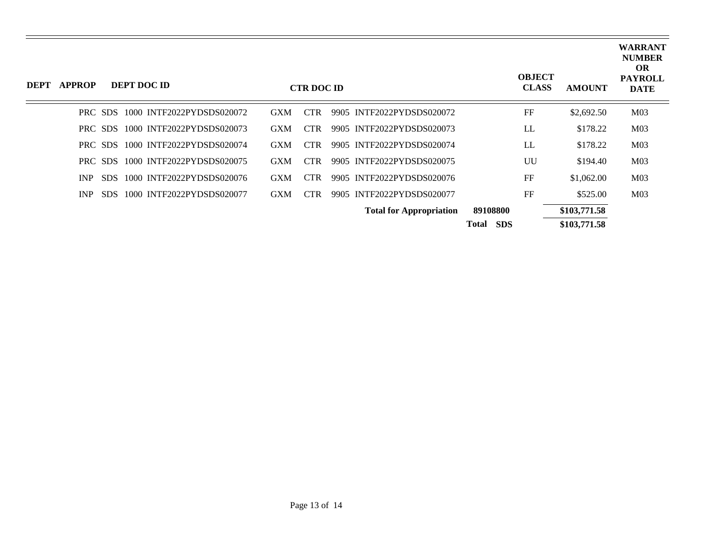| DEPT | <b>APPROP</b> |         | DEPT DOC ID                       |            | <b>CTR DOC ID</b> |                                |                            | <b>OBJECT</b><br><b>CLASS</b> | <b>AMOUNT</b> | <b>WARRANT</b><br><b>NUMBER</b><br><b>OR</b><br><b>PAYROLL</b><br><b>DATE</b> |
|------|---------------|---------|-----------------------------------|------------|-------------------|--------------------------------|----------------------------|-------------------------------|---------------|-------------------------------------------------------------------------------|
|      |               | PRC SDS | 1000 INTF2022PYDSDS020072         | <b>GXM</b> | <b>CTR</b>        | 9905 INTF2022PYDSDS020072      |                            | FF                            | \$2,692.50    | M <sub>03</sub>                                                               |
|      |               | PRC SDS | 1000 INTF2022PYDSDS020073         | <b>GXM</b> | CTR.              | 9905 INTF2022PYDSDS020073      |                            | LL                            | \$178.22      | M <sub>03</sub>                                                               |
|      |               |         | PRC SDS 1000 INTF2022PYDSDS020074 | <b>GXM</b> | <b>CTR</b>        | 9905 INTF2022PYDSDS020074      |                            | LL                            | \$178.22      | M <sub>03</sub>                                                               |
|      |               | PRC SDS | 1000 INTF2022PYDSDS020075         | <b>GXM</b> | <b>CTR</b>        | 9905 INTF2022PYDSDS020075      |                            | UU                            | \$194.40      | M <sub>03</sub>                                                               |
|      | INP.          | SDS.    | 1000 INTF2022PYDSDS020076         | <b>GXM</b> | <b>CTR</b>        | 9905 INTF2022PYDSDS020076      |                            | FF                            | \$1,062.00    | M <sub>03</sub>                                                               |
|      | INP           | SDS.    | 1000 INTF2022PYDSDS020077         | <b>GXM</b> | <b>CTR</b>        | 9905 INTF2022PYDSDS020077      |                            | FF                            | \$525.00      | M <sub>03</sub>                                                               |
|      |               |         |                                   |            |                   | <b>Total for Appropriation</b> | 89108800                   |                               | \$103,771.58  |                                                                               |
|      |               |         |                                   |            |                   |                                | <b>SDS</b><br><b>Total</b> |                               | \$103,771.58  |                                                                               |